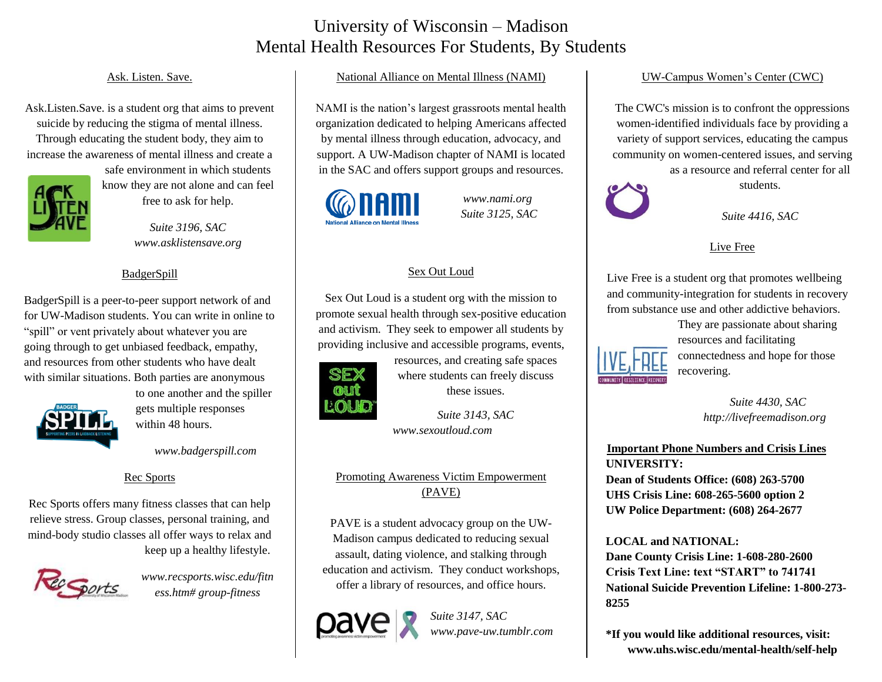## University of Wisconsin – Madison Mental Health Resources For Students, By Students

### Ask. Listen. Save.

Ask.Listen.Save. is a student org that aims to prevent suicide by reducing the stigma of mental illness. Through educating the student body, they aim to increase the awareness of mental illness and create a



safe environment in which students know they are not alone and can feel free to ask for help.

> *Suite 3196, SAC www.asklistensave.org*

### BadgerSpill

BadgerSpill is a peer-to-peer support network of and for UW-Madison students. You can write in online to "spill" or vent privately about whatever you are going through to get unbiased feedback, empathy, and resources from other students who have dealt with similar situations. Both parties are anonymous



to one another and the spiller gets multiple responses within 48 hours.

*www.badgerspill.com*

### Rec Sports

Rec Sports offers many fitness classes that can help relieve stress. Group classes, personal training, and mind-body studio classes all offer ways to relax and keep up a healthy lifestyle.



*www.recsports.wisc.edu/fitn ess.htm# group-fitness*

### National Alliance on Mental Illness (NAMI)

NAMI is the nation's largest grassroots mental health organization dedicated to helping Americans affected by mental illness through education, advocacy, and support. A UW-Madison chapter of NAMI is located in the SAC and offers support groups and resources.



*www.nami.org Suite 3125, SAC*

### Sex Out Loud

Sex Out Loud is a student org with the mission to promote sexual health through sex-positive education and activism. They seek to empower all students by providing inclusive and accessible programs, events,



resources, and creating safe spaces where students can freely discuss these issues.

*Suite 3143, SAC www.sexoutloud.com* 

### Promoting Awareness Victim Empowerment (PAVE)

PAVE is a student advocacy group on the UW-Madison campus dedicated to reducing sexual assault, dating violence, and stalking through education and activism. They conduct workshops, offer a library of resources, and office hours.



*Suite 3147, SAC www.pave-uw.tumblr.com*

### UW-Campus Women's Center (CWC)

The CWC's mission is to confront the oppressions women-identified individuals face by providing a variety of support services, educating the campus community on women-centered issues, and serving

as a resource and referral center for all

students.

*Suite 4416, SAC*

### Live Free

Live Free is a student org that promotes wellbeing and community-integration for students in recovery from substance use and other addictive behaviors.

> They are passionate about sharing resources and facilitating connectedness and hope for those recovering.

> > *Suite 4430, SAC http://livefreemadison.org*

**Important Phone Numbers and Crisis Lines UNIVERSITY:**

**Dean of Students Office: (608) 263-5700 UHS Crisis Line: 608-265-5600 option 2 UW Police Department: (608) 264-2677**

**LOCAL and NATIONAL: Dane County Crisis Line: 1-608-280-2600 Crisis Text Line: text "START" to 741741 National Suicide Prevention Lifeline: 1-800-273- 8255**

**\*If you would like additional resources, visit: www.uhs.wisc.edu/mental-health/self-help**